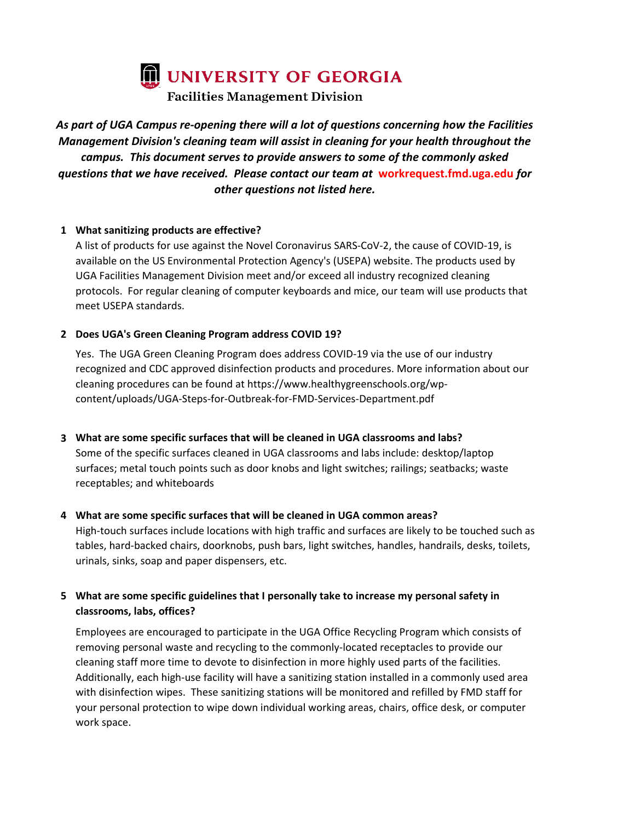UNIVERSITY OF GEORGIA

**Facilities Management Division** 

# *As part of UGA Campus re-opening there will a lot of questions concerning how the Facilities Management Division's cleaning team will assist in cleaning for your health throughout the campus. This document serves to provide answers to some of the commonly asked questions that we have received. Please contact our team at* **workrequest.fmd.uga.edu** *for other questions not listed here.*

#### **1 What sanitizing products are effective?**

A list of products for use against the Novel Coronavirus SARS-CoV-2, the cause of COVID-19, is available on the US Environmental Protection Agency's (USEPA) website. The products used by UGA Facilities Management Division meet and/or exceed all industry recognized cleaning protocols. For regular cleaning of computer keyboards and mice, our team will use products that meet USEPA standards.

#### **2 Does UGA's Green Cleaning Program address COVID 19?**

Yes. The UGA Green Cleaning Program does address COVID-19 via the use of our industry recognized and CDC approved disinfection products and procedures. More information about our cleaning procedures can be found at https://www.healthygreenschools.org/wpcontent/uploads/UGA-Steps-for-Outbreak-for-FMD-Services-Department.pdf

### **3 What are some specific surfaces that will be cleaned in UGA classrooms and labs?**

Some of the specific surfaces cleaned in UGA classrooms and labs include: desktop/laptop surfaces; metal touch points such as door knobs and light switches; railings; seatbacks; waste receptables; and whiteboards

#### **4 What are some specific surfaces that will be cleaned in UGA common areas?**

High-touch surfaces include locations with high traffic and surfaces are likely to be touched such as tables, hard-backed chairs, doorknobs, push bars, light switches, handles, handrails, desks, toilets, urinals, sinks, soap and paper dispensers, etc.

# **5 What are some specific guidelines that I personally take to increase my personal safety in classrooms, labs, offices?**

Employees are encouraged to participate in the UGA Office Recycling Program which consists of removing personal waste and recycling to the commonly-located receptacles to provide our cleaning staff more time to devote to disinfection in more highly used parts of the facilities. Additionally, each high-use facility will have a sanitizing station installed in a commonly used area with disinfection wipes. These sanitizing stations will be monitored and refilled by FMD staff for your personal protection to wipe down individual working areas, chairs, office desk, or computer work space.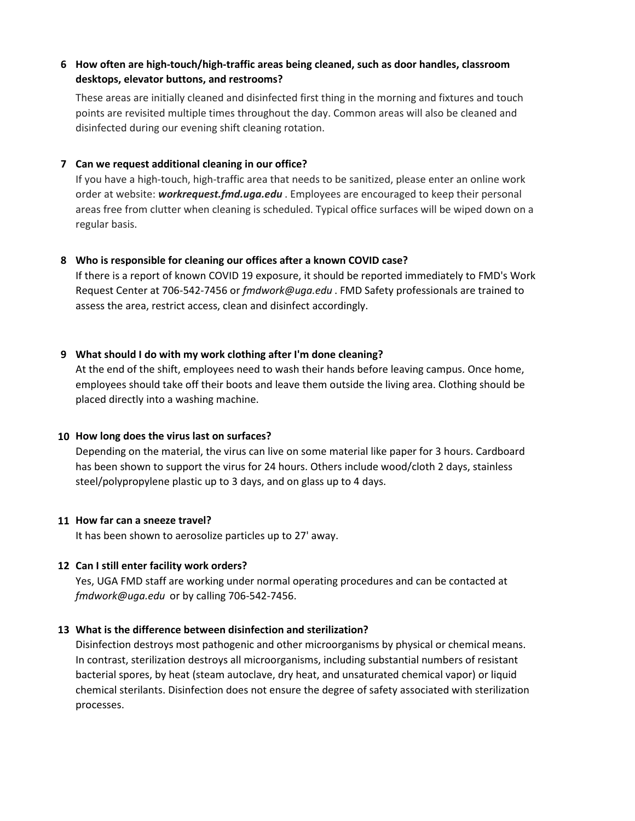# **6 How often are high-touch/high-traffic areas being cleaned, such as door handles, classroom desktops, elevator buttons, and restrooms?**

These areas are initially cleaned and disinfected first thing in the morning and fixtures and touch points are revisited multiple times throughout the day. Common areas will also be cleaned and disinfected during our evening shift cleaning rotation.

#### **7 Can we request additional cleaning in our office?**

If you have a high-touch, high-traffic area that needs to be sanitized, please enter an online work order at website: *workrequest.fmd.uga.edu* . Employees are encouraged to keep their personal areas free from clutter when cleaning is scheduled. Typical office surfaces will be wiped down on a regular basis.

#### **8 Who is responsible for cleaning our offices after a known COVID case?**

If there is a report of known COVID 19 exposure, it should be reported immediately to FMD's Work Request Center at 706-542-7456 or *fmdwork@uga.edu* . FMD Safety professionals are trained to assess the area, restrict access, clean and disinfect accordingly.

### **9 What should I do with my work clothing after I'm done cleaning?**

At the end of the shift, employees need to wash their hands before leaving campus. Once home, employees should take off their boots and leave them outside the living area. Clothing should be placed directly into a washing machine.

### **10 How long does the virus last on surfaces?**

Depending on the material, the virus can live on some material like paper for 3 hours. Cardboard has been shown to support the virus for 24 hours. Others include wood/cloth 2 days, stainless steel/polypropylene plastic up to 3 days, and on glass up to 4 days.

### **11 How far can a sneeze travel?**

It has been shown to aerosolize particles up to 27' away.

### **12 Can I still enter facility work orders?**

Yes, UGA FMD staff are working under normal operating procedures and can be contacted at *fmdwork@uga.edu* or by calling 706-542-7456.

### **13 What is the difference between disinfection and sterilization?**

Disinfection destroys most pathogenic and other microorganisms by physical or chemical means. In contrast, sterilization destroys all microorganisms, including substantial numbers of resistant bacterial spores, by heat (steam autoclave, dry heat, and unsaturated chemical vapor) or liquid chemical sterilants. Disinfection does not ensure the degree of safety associated with sterilization processes.